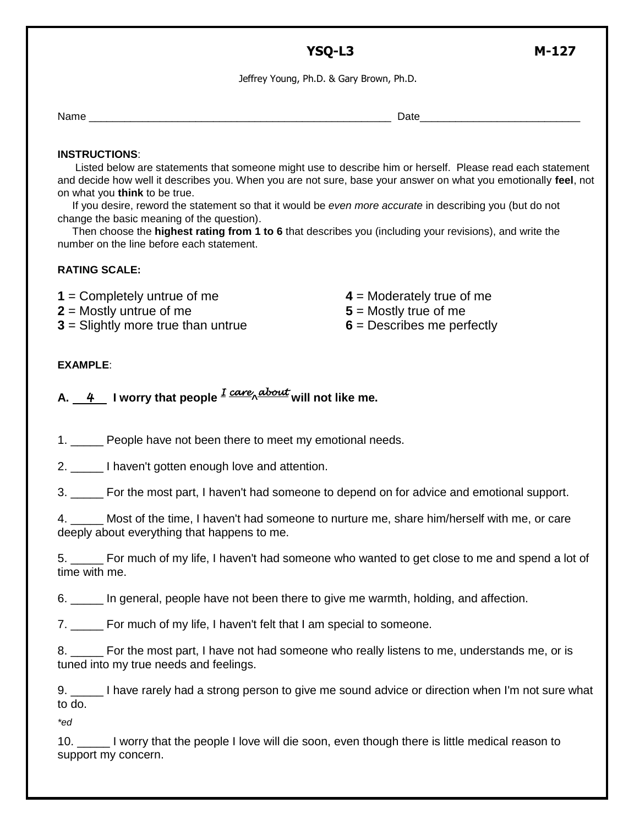## **YSQ-L3 M-127**

Jeffrey Young, Ph.D. & Gary Brown, Ph.D.

Name \_\_\_\_\_\_\_\_\_\_\_\_\_\_\_\_\_\_\_\_\_\_\_\_\_\_\_\_\_\_\_\_\_\_\_\_\_\_\_\_\_\_\_\_\_\_\_\_\_\_\_ Date\_\_\_\_\_\_\_\_\_\_\_\_\_\_\_\_\_\_\_\_\_\_\_\_\_\_\_

## **INSTRUCTIONS**:

 Listed below are statements that someone might use to describe him or herself. Please read each statement and decide how well it describes you. When you are not sure, base your answer on what you emotionally **feel**, not on what you **think** to be true.

 If you desire, reword the statement so that it would be *even more accurate* in describing you (but do not change the basic meaning of the question).

 Then choose the **highest rating from 1 to 6** that describes you (including your revisions), and write the number on the line before each statement.

## **RATING SCALE:**

**1** = Completely untrue of me

**2** = Mostly untrue of me

**3** = Slightly more true than untrue

- **4** = Moderately true of me
- **5** = Mostly true of me
- **6** = Describes me perfectly

## **EXAMPLE**:

**A.** *4* **I worry that people** *I care***^** *about* **will not like me.**

1. People have not been there to meet my emotional needs.

2. \_\_\_\_\_ I haven't gotten enough love and attention.

3. \_\_\_\_\_ For the most part, I haven't had someone to depend on for advice and emotional support.

4. \_\_\_\_\_ Most of the time, I haven't had someone to nurture me, share him/herself with me, or care deeply about everything that happens to me.

5. \_\_\_\_\_ For much of my life, I haven't had someone who wanted to get close to me and spend a lot of time with me.

6. \_\_\_\_\_ In general, people have not been there to give me warmth, holding, and affection.

7. For much of my life, I haven't felt that I am special to someone.

8. For the most part, I have not had someone who really listens to me, understands me, or is tuned into my true needs and feelings.

9. \_\_\_\_\_ I have rarely had a strong person to give me sound advice or direction when I'm not sure what to do.

*\*ed*

10. \_\_\_\_\_ I worry that the people I love will die soon, even though there is little medical reason to support my concern.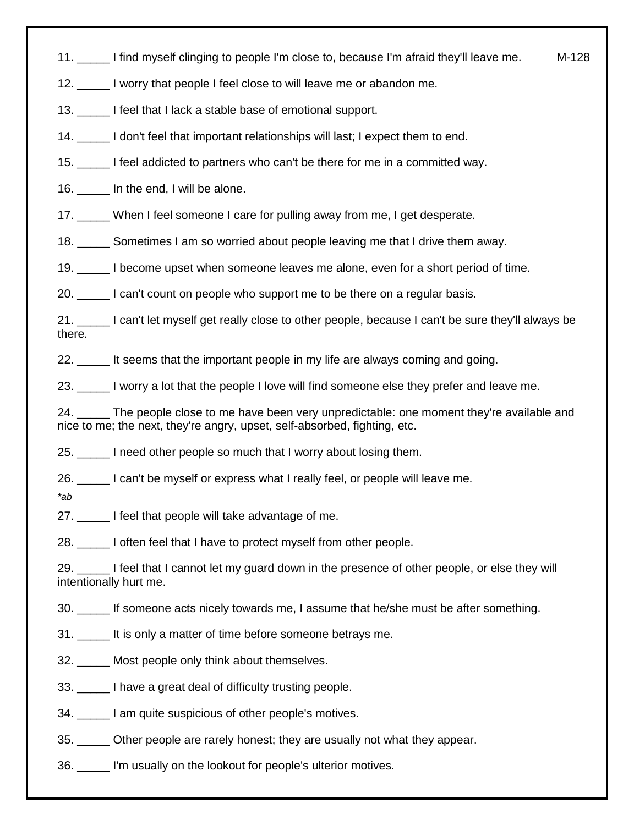11. \_\_\_\_\_ I find myself clinging to people I'm close to, because I'm afraid they'll leave me. M-128

12. \_\_\_\_\_ I worry that people I feel close to will leave me or abandon me.

13. \_\_\_\_\_ I feel that I lack a stable base of emotional support.

14. \_\_\_\_\_ I don't feel that important relationships will last; I expect them to end.

15. \_\_\_\_\_ I feel addicted to partners who can't be there for me in a committed way.

16. **In the end, I will be alone.** 

17. \_\_\_\_ When I feel someone I care for pulling away from me, I get desperate.

18. \_\_\_\_\_\_ Sometimes I am so worried about people leaving me that I drive them away.

19. \_\_\_\_\_ I become upset when someone leaves me alone, even for a short period of time.

20. \_\_\_\_\_ I can't count on people who support me to be there on a regular basis.

21. \_\_\_\_\_ I can't let myself get really close to other people, because I can't be sure they'll always be there.

22. \_\_\_\_\_ It seems that the important people in my life are always coming and going.

23. \_\_\_\_\_ I worry a lot that the people I love will find someone else they prefer and leave me.

24. The people close to me have been very unpredictable: one moment they're available and nice to me; the next, they're angry, upset, self-absorbed, fighting, etc.

25. I need other people so much that I worry about losing them.

26. \_\_\_\_\_ I can't be myself or express what I really feel, or people will leave me.

*\*ab*

27. **I** feel that people will take advantage of me.

28. I often feel that I have to protect myself from other people.

29. \_\_\_\_\_ I feel that I cannot let my guard down in the presence of other people, or else they will intentionally hurt me.

30. \_\_\_\_\_ If someone acts nicely towards me, I assume that he/she must be after something.

31. \_\_\_\_\_ It is only a matter of time before someone betrays me.

32. \_\_\_\_\_ Most people only think about themselves.

33. \_\_\_\_\_ I have a great deal of difficulty trusting people.

34. \_\_\_\_\_ I am quite suspicious of other people's motives.

35. \_\_\_\_\_ Other people are rarely honest; they are usually not what they appear.

36. \_\_\_\_\_ I'm usually on the lookout for people's ulterior motives.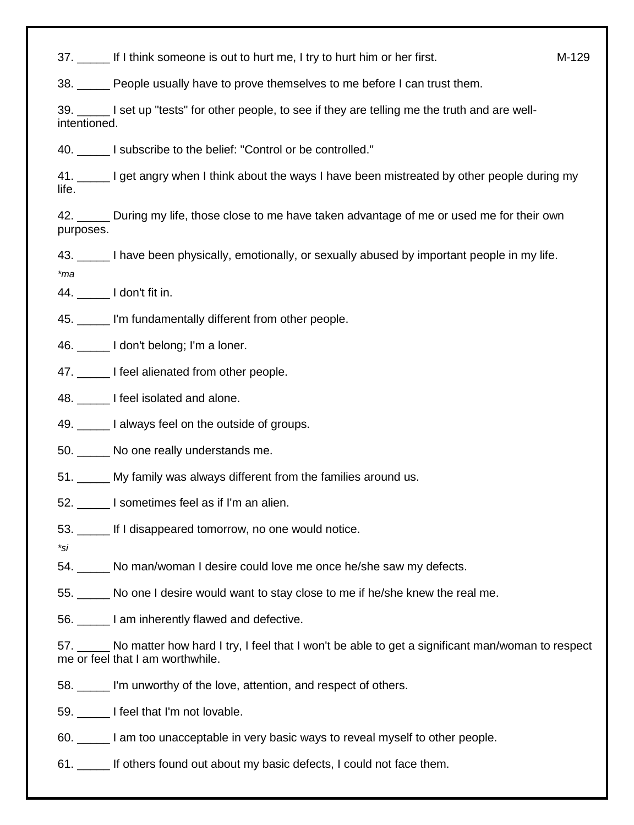37. If I think someone is out to hurt me, I try to hurt him or her first. The M-129

38. \_\_\_\_\_ People usually have to prove themselves to me before I can trust them.

39. \_\_\_\_\_ I set up "tests" for other people, to see if they are telling me the truth and are wellintentioned.

40. **I** subscribe to the belief: "Control or be controlled."

41. I get angry when I think about the ways I have been mistreated by other people during my life.

42. \_\_\_\_\_ During my life, those close to me have taken advantage of me or used me for their own purposes.

43. \_\_\_\_\_ I have been physically, emotionally, or sexually abused by important people in my life.

*\*ma*

44. \_\_\_\_\_ I don't fit in.

45. I'm fundamentally different from other people.

46. **I don't belong; I'm a loner.** 

47. **I** feel alienated from other people.

48. **I** feel isolated and alone.

49. \_\_\_\_\_\_ I always feel on the outside of groups.

50. \_\_\_\_\_ No one really understands me.

51. \_\_\_\_\_ My family was always different from the families around us.

- 52. \_\_\_\_\_ I sometimes feel as if I'm an alien.
- 53. If I disappeared tomorrow, no one would notice.

*\*si*

54. No man/woman I desire could love me once he/she saw my defects.

55. \_\_\_\_\_ No one I desire would want to stay close to me if he/she knew the real me.

56. \_\_\_\_\_ I am inherently flawed and defective.

57. \_\_\_\_\_ No matter how hard I try, I feel that I won't be able to get a significant man/woman to respect me or feel that I am worthwhile.

58. \_\_\_\_\_ I'm unworthy of the love, attention, and respect of others.

59. **I** feel that I'm not lovable.

- 60. \_\_\_\_\_ I am too unacceptable in very basic ways to reveal myself to other people.
- 61. If others found out about my basic defects, I could not face them.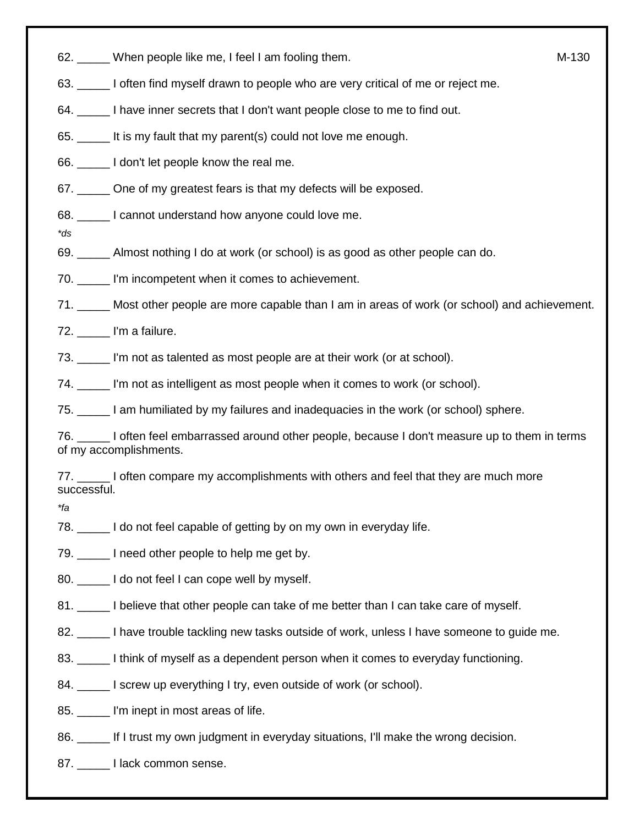62. When people like me, I feel I am fooling them. The method of the method of M-130

- 63. \_\_\_\_\_ I often find myself drawn to people who are very critical of me or reject me.
- 64. \_\_\_\_\_ I have inner secrets that I don't want people close to me to find out.
- 65. \_\_\_\_\_ It is my fault that my parent(s) could not love me enough.
- 66. \_\_\_\_\_ I don't let people know the real me.
- 67. One of my greatest fears is that my defects will be exposed.
- 68. **I cannot understand how anyone could love me.**
- *\*ds*

69. \_\_\_\_\_ Almost nothing I do at work (or school) is as good as other people can do.

70. \_\_\_\_\_ I'm incompetent when it comes to achievement.

71. \_\_\_\_\_ Most other people are more capable than I am in areas of work (or school) and achievement.

- 72. \_\_\_\_\_ I'm a failure.
- 73. \_\_\_\_\_ I'm not as talented as most people are at their work (or at school).
- 74. \_\_\_\_\_ I'm not as intelligent as most people when it comes to work (or school).

75. \_\_\_\_\_ I am humiliated by my failures and inadequacies in the work (or school) sphere.

76. \_\_\_\_\_ I often feel embarrassed around other people, because I don't measure up to them in terms of my accomplishments.

77. \_\_\_\_\_ I often compare my accomplishments with others and feel that they are much more successful.

*\*fa*

78. \_\_\_\_\_ I do not feel capable of getting by on my own in everyday life.

79. \_\_\_\_\_ I need other people to help me get by.

80. \_\_\_\_\_\_ I do not feel I can cope well by myself.

81. \_\_\_\_\_ I believe that other people can take of me better than I can take care of myself.

- 82.  $\Box$  I have trouble tackling new tasks outside of work, unless I have someone to guide me.
- 83. \_\_\_\_\_ I think of myself as a dependent person when it comes to everyday functioning.
- 84. \_\_\_\_\_\_ I screw up everything I try, even outside of work (or school).
- 85. \_\_\_\_\_ I'm inept in most areas of life.
- 86. If I trust my own judgment in everyday situations, I'll make the wrong decision.
- 87. **I lack common sense.**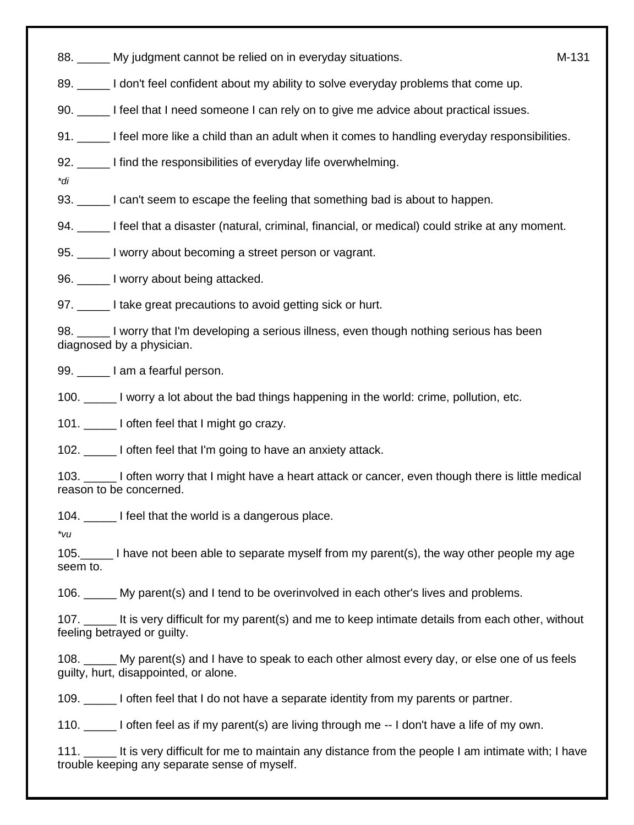88. My judgment cannot be relied on in everyday situations. The manuscript of M-131

- 89. \_\_\_\_\_ I don't feel confident about my ability to solve everyday problems that come up.
- 90. I feel that I need someone I can rely on to give me advice about practical issues.
- 91.  $\Box$  I feel more like a child than an adult when it comes to handling everyday responsibilities.
- 92. I find the responsibilities of everyday life overwhelming.
- *\*di*
- 93. \_\_\_\_\_ I can't seem to escape the feeling that something bad is about to happen.
- 94. \_\_\_\_\_ I feel that a disaster (natural, criminal, financial, or medical) could strike at any moment.
- 95. I worry about becoming a street person or vagrant.

96. \_\_\_\_\_ I worry about being attacked.

97. \_\_\_\_\_ I take great precautions to avoid getting sick or hurt.

98. I worry that I'm developing a serious illness, even though nothing serious has been diagnosed by a physician.

99. lam a fearful person.

100. \_\_\_\_\_ I worry a lot about the bad things happening in the world: crime, pollution, etc.

101. **I** often feel that I might go crazy.

102. \_\_\_\_\_ I often feel that I'm going to have an anxiety attack.

103. \_\_\_\_\_ I often worry that I might have a heart attack or cancer, even though there is little medical reason to be concerned.

104. **I** feel that the world is a dangerous place.

*\*vu*

105.\_\_\_\_\_ I have not been able to separate myself from my parent(s), the way other people my age seem to.

106. \_\_\_\_\_ My parent(s) and I tend to be overinvolved in each other's lives and problems.

107. \_\_\_\_\_ It is very difficult for my parent(s) and me to keep intimate details from each other, without feeling betrayed or guilty.

108. \_\_\_\_\_ My parent(s) and I have to speak to each other almost every day, or else one of us feels guilty, hurt, disappointed, or alone.

109. \_\_\_\_\_ I often feel that I do not have a separate identity from my parents or partner.

110. \_\_\_\_\_ I often feel as if my parent(s) are living through me -- I don't have a life of my own.

111. \_\_\_\_\_ It is very difficult for me to maintain any distance from the people I am intimate with; I have trouble keeping any separate sense of myself.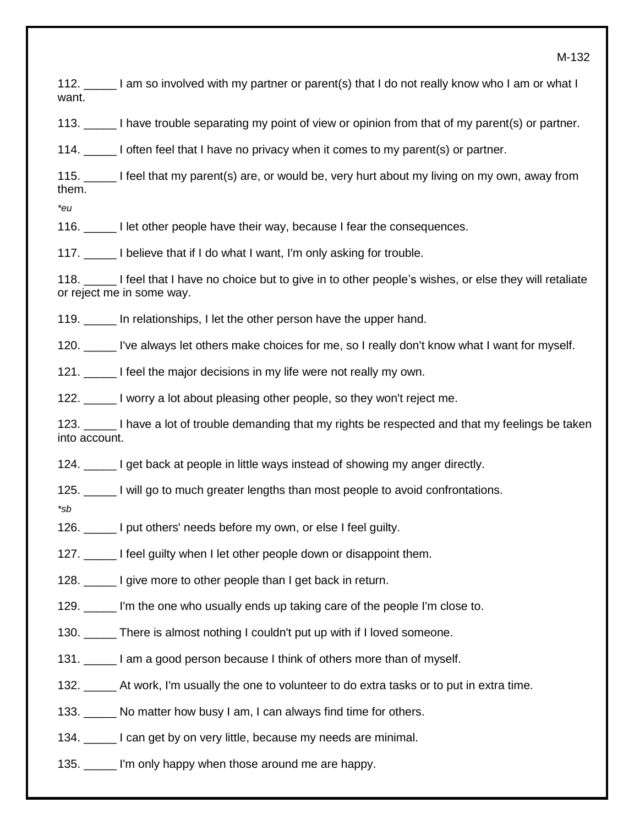M-132

112. \_\_\_\_\_ I am so involved with my partner or parent(s) that I do not really know who I am or what I want.

113. \_\_\_\_\_ I have trouble separating my point of view or opinion from that of my parent(s) or partner.

114. \_\_\_\_\_ I often feel that I have no privacy when it comes to my parent(s) or partner.

115. \_\_\_\_\_ I feel that my parent(s) are, or would be, very hurt about my living on my own, away from them.

*\*eu*

116. \_\_\_\_\_ I let other people have their way, because I fear the consequences.

117. \_\_\_\_\_ I believe that if I do what I want, I'm only asking for trouble.

118. \_\_\_\_\_ I feel that I have no choice but to give in to other people's wishes, or else they will retaliate or reject me in some way.

119. In relationships, I let the other person have the upper hand.

120. \_\_\_\_\_ I've always let others make choices for me, so I really don't know what I want for myself.

121. I feel the major decisions in my life were not really my own.

122. \_\_\_\_\_ I worry a lot about pleasing other people, so they won't reject me.

123. \_\_\_\_\_ I have a lot of trouble demanding that my rights be respected and that my feelings be taken into account.

124. \_\_\_\_\_ I get back at people in little ways instead of showing my anger directly.

125. \_\_\_\_\_ I will go to much greater lengths than most people to avoid confrontations.

*\*sb*

126. \_\_\_\_\_ I put others' needs before my own, or else I feel guilty.

127. I feel quilty when I let other people down or disappoint them.

128. I give more to other people than I get back in return.

129. \_\_\_\_\_ I'm the one who usually ends up taking care of the people I'm close to.

130. \_\_\_\_\_ There is almost nothing I couldn't put up with if I loved someone.

131. I am a good person because I think of others more than of myself.

132. \_\_\_\_\_ At work, I'm usually the one to volunteer to do extra tasks or to put in extra time.

133. \_\_\_\_\_ No matter how busy I am, I can always find time for others.

134. I can get by on very little, because my needs are minimal.

135. I'm only happy when those around me are happy.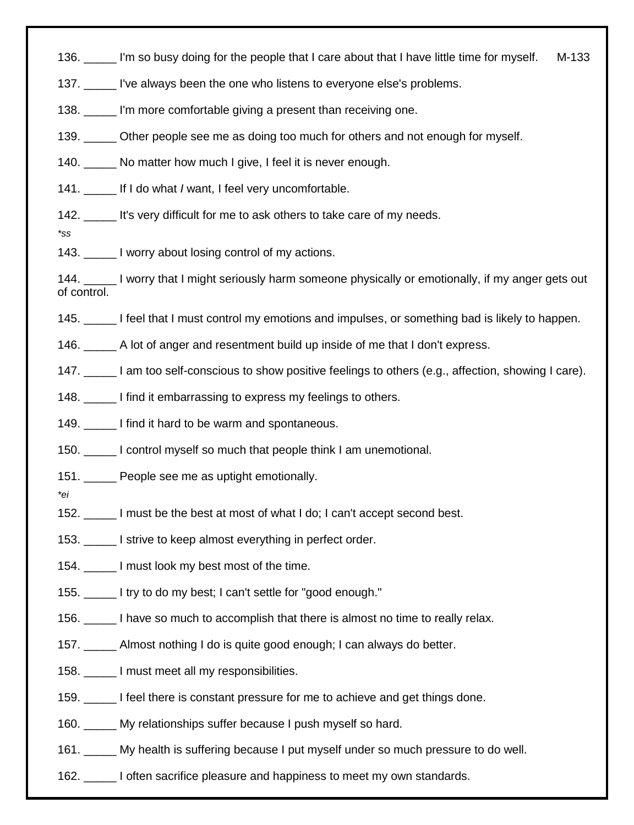136. \_\_\_\_\_ I'm so busy doing for the people that I care about that I have little time for myself. M-133

137. I've always been the one who listens to everyone else's problems.

138. We all more comfortable giving a present than receiving one.

139. \_\_\_\_\_\_ Other people see me as doing too much for others and not enough for myself.

140. No matter how much I give, I feel it is never enough.

141. If I do what *I* want, I feel very uncomfortable.

142. \_\_\_\_\_ It's very difficult for me to ask others to take care of my needs.

- *\*ss*
- 143. I worry about losing control of my actions.

144. \_\_\_\_\_ I worry that I might seriously harm someone physically or emotionally, if my anger gets out of control.

145. \_\_\_\_\_ I feel that I must control my emotions and impulses, or something bad is likely to happen.

146. \_\_\_\_\_ A lot of anger and resentment build up inside of me that I don't express.

147. I am too self-conscious to show positive feelings to others (e.g., affection, showing I care).

- 148. I find it embarrassing to express my feelings to others.
- 149. I find it hard to be warm and spontaneous.

150. \_\_\_\_\_ I control myself so much that people think I am unemotional.

- 151. People see me as uptight emotionally.
- *\*ei*
- 152. \_\_\_\_\_ I must be the best at most of what I do; I can't accept second best.
- 153. I strive to keep almost everything in perfect order.
- 154. I must look my best most of the time.
- 155. \_\_\_\_\_ I try to do my best; I can't settle for "good enough."
- 156. \_\_\_\_\_ I have so much to accomplish that there is almost no time to really relax.
- 157. \_\_\_\_\_ Almost nothing I do is quite good enough; I can always do better.
- 158. \_\_\_\_\_ I must meet all my responsibilities.
- 159. \_\_\_\_\_ I feel there is constant pressure for me to achieve and get things done.
- 160. \_\_\_\_\_ My relationships suffer because I push myself so hard.
- 161. \_\_\_\_\_ My health is suffering because I put myself under so much pressure to do well.
- 162. \_\_\_\_\_ I often sacrifice pleasure and happiness to meet my own standards.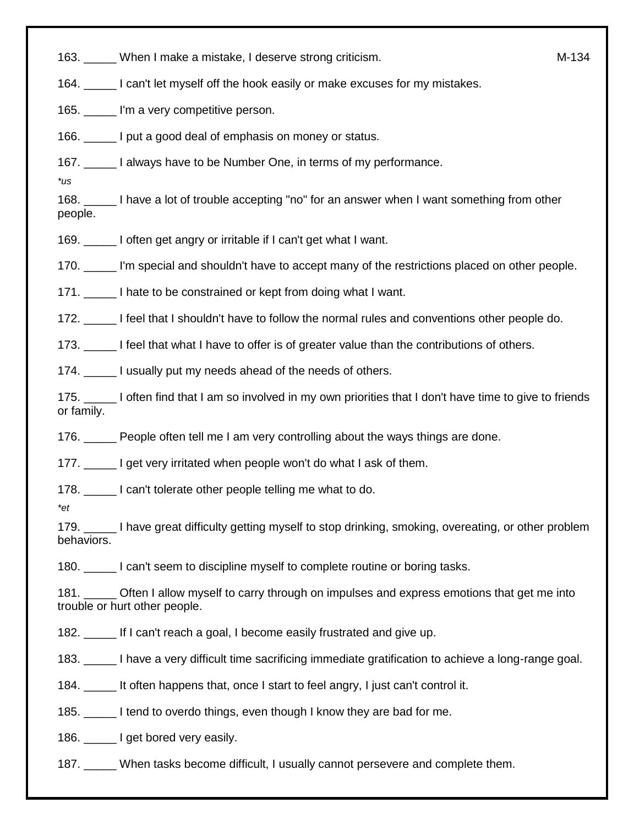163. \_\_\_\_\_ When I make a mistake, I deserve strong criticism. M-134

164. \_\_\_\_\_ I can't let myself off the hook easily or make excuses for my mistakes.

165. \_\_\_\_\_ I'm a very competitive person.

166. \_\_\_\_\_ I put a good deal of emphasis on money or status.

167. \_\_\_\_\_ I always have to be Number One, in terms of my performance.

*\*us*

168. \_\_\_\_\_ I have a lot of trouble accepting "no" for an answer when I want something from other people.

169. \_\_\_\_\_ I often get angry or irritable if I can't get what I want.

170. \_\_\_\_\_ I'm special and shouldn't have to accept many of the restrictions placed on other people.

171. 10. I hate to be constrained or kept from doing what I want.

172. I feel that I shouldn't have to follow the normal rules and conventions other people do.

173. \_\_\_\_\_ I feel that what I have to offer is of greater value than the contributions of others.

174. \_\_\_\_\_\_ I usually put my needs ahead of the needs of others.

175. \_\_\_\_\_ I often find that I am so involved in my own priorities that I don't have time to give to friends or family.

176. **Example 20** People often tell me I am very controlling about the ways things are done.

177. \_\_\_\_\_ I get very irritated when people won't do what I ask of them.

178. \_\_\_\_\_ I can't tolerate other people telling me what to do.

*\*et*

179. I have great difficulty getting myself to stop drinking, smoking, overeating, or other problem behaviors.

180. **I** can't seem to discipline myself to complete routine or boring tasks.

181. **Often I allow myself to carry through on impulses and express emotions that get me into** trouble or hurt other people.

182. \_\_\_\_\_ If I can't reach a goal, I become easily frustrated and give up.

183. \_\_\_\_\_ I have a very difficult time sacrificing immediate gratification to achieve a long-range goal.

184. \_\_\_\_\_ It often happens that, once I start to feel angry, I just can't control it.

185. I tend to overdo things, even though I know they are bad for me.

186. **I get bored very easily.** 

187. When tasks become difficult, I usually cannot persevere and complete them.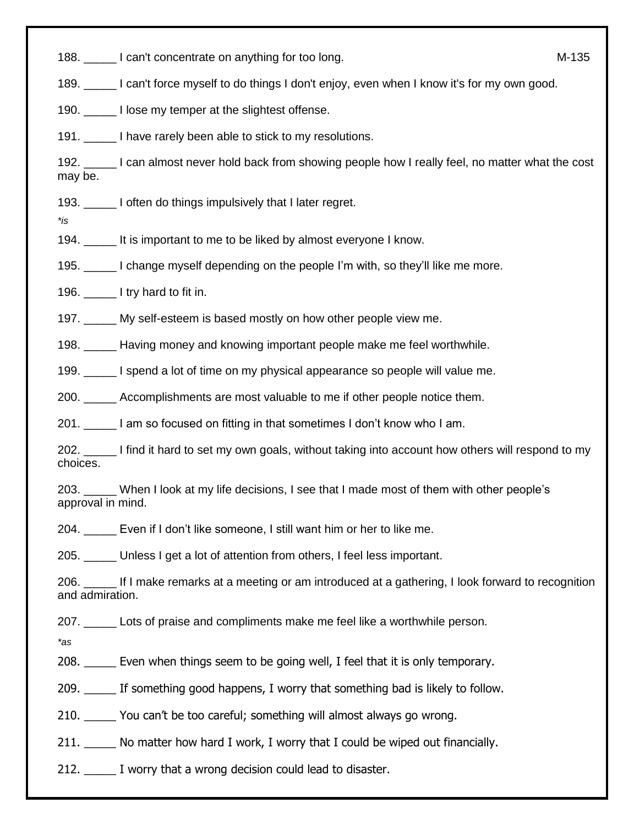188. \_\_\_\_\_ I can't concentrate on anything for too long. M-135

189. \_\_\_\_\_ I can't force myself to do things I don't enjoy, even when I know it's for my own good.

190. \_\_\_\_\_ I lose my temper at the slightest offense.

191. \_\_\_\_\_ I have rarely been able to stick to my resolutions.

192. \_\_\_\_\_ I can almost never hold back from showing people how I really feel, no matter what the cost may be.

193. I often do things impulsively that I later regret.

*\*is*

194. It is important to me to be liked by almost everyone I know.

195. \_\_\_\_\_ I change myself depending on the people I'm with, so they'll like me more.

196. \_\_\_\_\_ I try hard to fit in.

197. \_\_\_\_\_ My self-esteem is based mostly on how other people view me.

198. \_\_\_\_\_ Having money and knowing important people make me feel worthwhile.

199. \_\_\_\_\_ I spend a lot of time on my physical appearance so people will value me.

200. \_\_\_\_\_ Accomplishments are most valuable to me if other people notice them.

201. \_\_\_\_\_ I am so focused on fitting in that sometimes I don't know who I am.

202. \_\_\_\_\_ I find it hard to set my own goals, without taking into account how others will respond to my choices.

203. \_\_\_\_\_ When I look at my life decisions, I see that I made most of them with other people's approval in mind.

204. \_\_\_\_\_ Even if I don't like someone, I still want him or her to like me.

205. \_\_\_\_\_ Unless I get a lot of attention from others, I feel less important.

206. \_\_\_\_\_ If I make remarks at a meeting or am introduced at a gathering, I look forward to recognition and admiration.

207. \_\_\_\_\_ Lots of praise and compliments make me feel like a worthwhile person.

*\*as*

208. \_\_\_\_\_ Even when things seem to be going well, I feel that it is only temporary.

209. If something good happens, I worry that something bad is likely to follow.

210. \_\_\_\_\_ You can't be too careful; something will almost always go wrong.

211. No matter how hard I work, I worry that I could be wiped out financially.

212.  $\Box$  I worry that a wrong decision could lead to disaster.